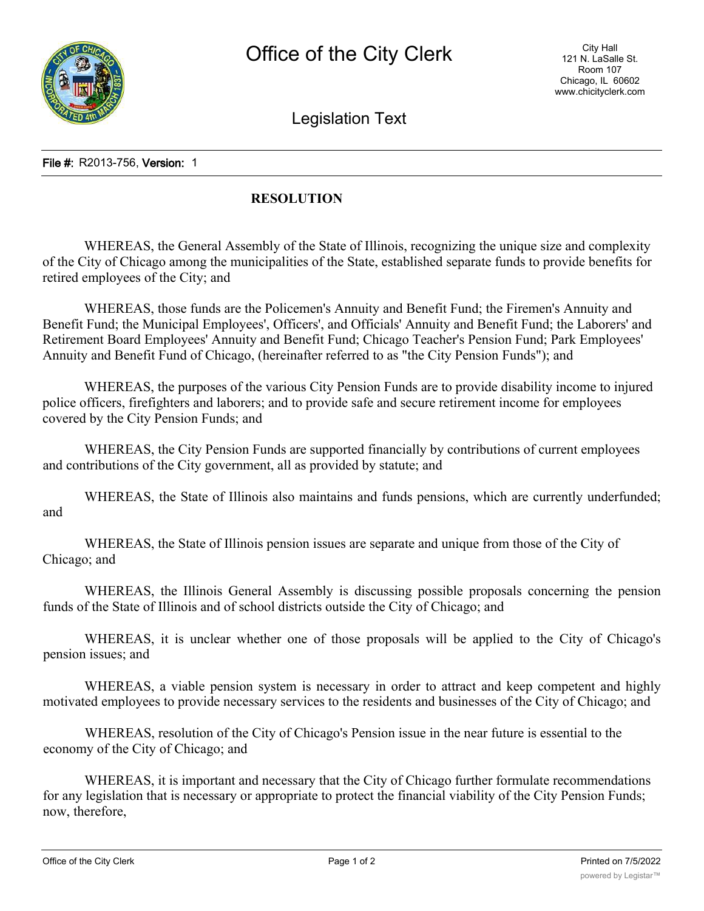Legislation Text

File #: R2013-756, Version: 1

## **RESOLUTION**

WHEREAS, the General Assembly of the State of Illinois, recognizing the unique size and complexity of the City of Chicago among the municipalities of the State, established separate funds to provide benefits for retired employees of the City; and

WHEREAS, those funds are the Policemen's Annuity and Benefit Fund; the Firemen's Annuity and Benefit Fund; the Municipal Employees', Officers', and Officials' Annuity and Benefit Fund; the Laborers' and Retirement Board Employees' Annuity and Benefit Fund; Chicago Teacher's Pension Fund; Park Employees' Annuity and Benefit Fund of Chicago, (hereinafter referred to as "the City Pension Funds"); and

WHEREAS, the purposes of the various City Pension Funds are to provide disability income to injured police officers, firefighters and laborers; and to provide safe and secure retirement income for employees covered by the City Pension Funds; and

WHEREAS, the City Pension Funds are supported financially by contributions of current employees and contributions of the City government, all as provided by statute; and

WHEREAS, the State of Illinois also maintains and funds pensions, which are currently underfunded; and

WHEREAS, the State of Illinois pension issues are separate and unique from those of the City of Chicago; and

WHEREAS, the Illinois General Assembly is discussing possible proposals concerning the pension funds of the State of Illinois and of school districts outside the City of Chicago; and

WHEREAS, it is unclear whether one of those proposals will be applied to the City of Chicago's pension issues; and

WHEREAS, a viable pension system is necessary in order to attract and keep competent and highly motivated employees to provide necessary services to the residents and businesses of the City of Chicago; and

WHEREAS, resolution of the City of Chicago's Pension issue in the near future is essential to the economy of the City of Chicago; and

WHEREAS, it is important and necessary that the City of Chicago further formulate recommendations for any legislation that is necessary or appropriate to protect the financial viability of the City Pension Funds; now, therefore,